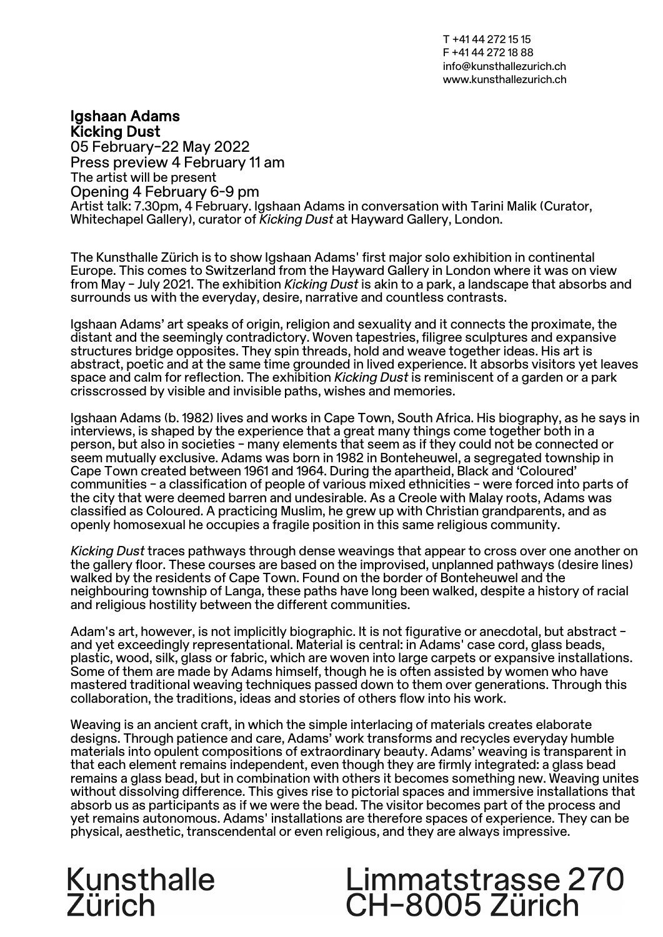T +41 44 272 15 15 F +41 44 272 18 88 info@kunsthallezurich.ch www.kunsthallezurich.ch

## Igshaan Adams Kicking Dust

05 February–22 May 2022 Press preview 4 February 11 am The artist will be present Opening 4 February 6-9 pm Artist talk: 7.30pm, 4 February. Igshaan Adams in conversation with Tarini Malik (Curator, Whitechapel Gallery), curator of *Kicking Dust* at Hayward Gallery, London.

The Kunsthalle Zürich is to show Igshaan Adams' first major solo exhibition in continental Europe. This comes to Switzerland from the Hayward Gallery in London where it was on view from May – July 2021. The exhibition *Kicking Dust* is akin to a park, a landscape that absorbs and surrounds us with the everyday, desire, narrative and countless contrasts.

Igshaan Adams' art speaks of origin, religion and sexuality and it connects the proximate, the distant and the seemingly contradictory. Woven tapestries, filigree sculptures and expansive structures bridge opposites. They spin threads, hold and weave together ideas. His art is abstract, poetic and at the same time grounded in lived experience. It absorbs visitors yet leaves space and calm for reflection. The exhibition *Kicking Dust* is reminiscent of a garden or a park crisscrossed by visible and invisible paths, wishes and memories.

Igshaan Adams (b. 1982) lives and works in Cape Town, South Africa. His biography, as he says in interviews, is shaped by the experience that a great many things come together both in a person, but also in societies – many elements that seem as if they could not be connected or seem mutually exclusive. Adams was born in 1982 in Bonteheuwel, a segregated township in Cape Town created between 1961 and 1964. During the apartheid, Black and 'Coloured' communities – a classification of people of various mixed ethnicities – were forced into parts of the city that were deemed barren and undesirable. As a Creole with Malay roots, Adams was classified as Coloured. A practicing Muslim, he grew up with Christian grandparents, and as openly homosexual he occupies a fragile position in this same religious community.

*Kicking Dust* traces pathways through dense weavings that appear to cross over one another on the gallery floor. These courses are based on the improvised, unplanned pathways (desire lines) walked by the residents of Cape Town. Found on the border of Bonteheuwel and the neighbouring township of Langa, these paths have long been walked, despite a history of racial and religious hostility between the different communities.

Adam's art, however, is not implicitly biographic. It is not figurative or anecdotal, but abstract –<br>and yet exceedingly representational. Material is central: in Adams' case cord, glass beads, plastic, wood, silk, glass or fabric, which are woven into large carpets or expansive installations. Some of them are made by Adams himself, though he is often assisted by women who have mastered traditional weaving techniques passed down to them over generations. Through this collaboration, the traditions, ideas and stories of others flow into his work.

Weaving is an ancient craft, in which the simple interlacing of materials creates elaborate designs. Through patience and care, Adams' work transforms and recycles everyday humble materials into opulent compositions of extraordinary beauty. Adams' weaving is transparent in that each element remains independent, even though they are firmly integrated: a glass bead remains a glass bead, but in combination with others it becomes something new. Weaving unites without dissolving difference. This gives rise to pictorial spaces and immersive installations that absorb us as participants as if we were the bead. The visitor becomes part of the process and yet remains autonomous. Adams' installations are therefore spaces of experience. They can be physical, aesthetic, transcendental or even religious, and they are always impressive.

## Kunsthalle<br>Zürich

## Limmatstrasse 270<br>CH-8005 Zürich